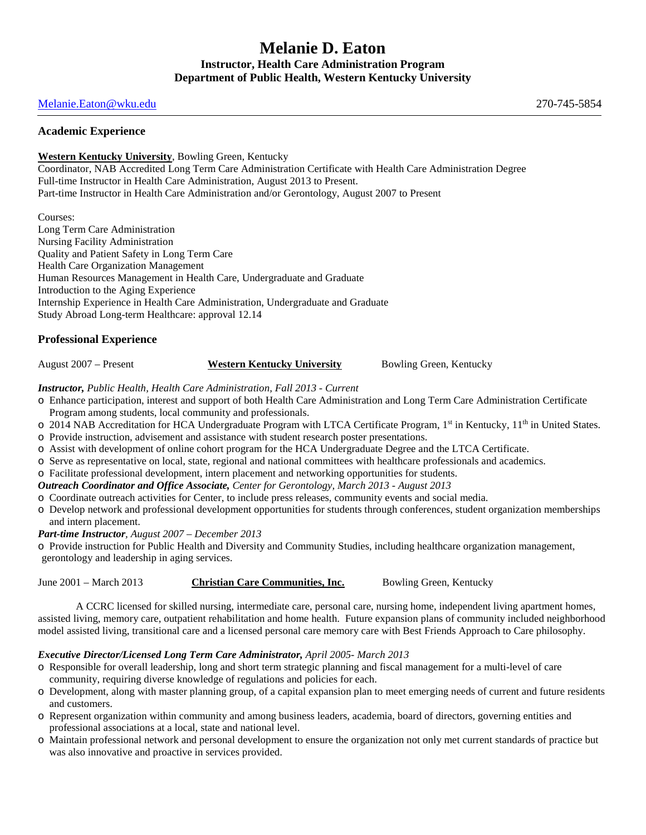# **Melanie D. Eaton Instructor, Health Care Administration Program Department of Public Health, Western Kentucky University**

### [Melanie.Eaton@wku.edu](mailto:Melanie.Eaton@wku.edu) 270-745-5854

### **Academic Experience**

### **Western Kentucky University**, Bowling Green, Kentucky

Coordinator, NAB Accredited Long Term Care Administration Certificate with Health Care Administration Degree Full-time Instructor in Health Care Administration, August 2013 to Present. Part-time Instructor in Health Care Administration and/or Gerontology, August 2007 to Present

Courses: Long Term Care Administration Nursing Facility Administration Quality and Patient Safety in Long Term Care Health Care Organization Management Human Resources Management in Health Care, Undergraduate and Graduate Introduction to the Aging Experience Internship Experience in Health Care Administration, Undergraduate and Graduate Study Abroad Long-term Healthcare: approval 12.14

### **Professional Experience**

August 2007 – Present **Western Kentucky University** Bowling Green, Kentucky

*Instructor, Public Health, Health Care Administration, Fall 2013 - Current*

- o Enhance participation, interest and support of both Health Care Administration and Long Term Care Administration Certificate Program among students, local community and professionals.
- $\circ$  2014 NAB Accreditation for HCA Undergraduate Program with LTCA Certificate Program, 1<sup>st</sup> in Kentucky, 11<sup>th</sup> in United States.
- o Provide instruction, advisement and assistance with student research poster presentations.
- o Assist with development of online cohort program for the HCA Undergraduate Degree and the LTCA Certificate.
- o Serve as representative on local, state, regional and national committees with healthcare professionals and academics.
- o Facilitate professional development, intern placement and networking opportunities for students.
- *Outreach Coordinator and Office Associate, Center for Gerontology, March 2013 - August 2013*
- o Coordinate outreach activities for Center, to include press releases, community events and social media.
- o Develop network and professional development opportunities for students through conferences, student organization memberships and intern placement.
- *Part-time Instructor, August 2007 – December 2013*

o Provide instruction for Public Health and Diversity and Community Studies, including healthcare organization management, gerontology and leadership in aging services.

## June 2001 – March 2013 **Christian Care Communities, Inc.** Bowling Green, Kentucky

A CCRC licensed for skilled nursing, intermediate care, personal care, nursing home, independent living apartment homes, assisted living, memory care, outpatient rehabilitation and home health. Future expansion plans of community included neighborhood model assisted living, transitional care and a licensed personal care memory care with Best Friends Approach to Care philosophy.

## *Executive Director/Licensed Long Term Care Administrator, April 2005- March 2013*

- o Responsible for overall leadership, long and short term strategic planning and fiscal management for a multi-level of care community, requiring diverse knowledge of regulations and policies for each.
- o Development, along with master planning group, of a capital expansion plan to meet emerging needs of current and future residents and customers.
- o Represent organization within community and among business leaders, academia, board of directors, governing entities and professional associations at a local, state and national level.
- o Maintain professional network and personal development to ensure the organization not only met current standards of practice but was also innovative and proactive in services provided.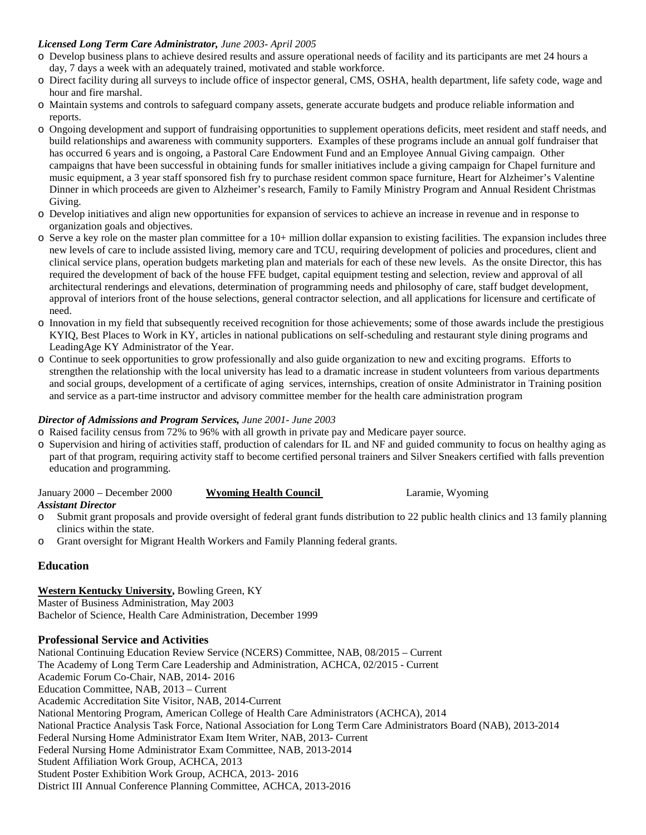### *Licensed Long Term Care Administrator, June 2003- April 2005*

- o Develop business plans to achieve desired results and assure operational needs of facility and its participants are met 24 hours a day, 7 days a week with an adequately trained, motivated and stable workforce.
- o Direct facility during all surveys to include office of inspector general, CMS, OSHA, health department, life safety code, wage and hour and fire marshal.
- o Maintain systems and controls to safeguard company assets, generate accurate budgets and produce reliable information and reports.
- o Ongoing development and support of fundraising opportunities to supplement operations deficits, meet resident and staff needs, and build relationships and awareness with community supporters. Examples of these programs include an annual golf fundraiser that has occurred 6 years and is ongoing, a Pastoral Care Endowment Fund and an Employee Annual Giving campaign. Other campaigns that have been successful in obtaining funds for smaller initiatives include a giving campaign for Chapel furniture and music equipment, a 3 year staff sponsored fish fry to purchase resident common space furniture, Heart for Alzheimer's Valentine Dinner in which proceeds are given to Alzheimer's research, Family to Family Ministry Program and Annual Resident Christmas Giving.
- o Develop initiatives and align new opportunities for expansion of services to achieve an increase in revenue and in response to organization goals and objectives.
- o Serve a key role on the master plan committee for a 10+ million dollar expansion to existing facilities. The expansion includes three new levels of care to include assisted living, memory care and TCU, requiring development of policies and procedures, client and clinical service plans, operation budgets marketing plan and materials for each of these new levels. As the onsite Director, this has required the development of back of the house FFE budget, capital equipment testing and selection, review and approval of all architectural renderings and elevations, determination of programming needs and philosophy of care, staff budget development, approval of interiors front of the house selections, general contractor selection, and all applications for licensure and certificate of need.
- o Innovation in my field that subsequently received recognition for those achievements; some of those awards include the prestigious KYIQ, Best Places to Work in KY, articles in national publications on self-scheduling and restaurant style dining programs and LeadingAge KY Administrator of the Year.
- o Continue to seek opportunities to grow professionally and also guide organization to new and exciting programs. Efforts to strengthen the relationship with the local university has lead to a dramatic increase in student volunteers from various departments and social groups, development of a certificate of aging services, internships, creation of onsite Administrator in Training position and service as a part-time instructor and advisory committee member for the health care administration program

### *Director of Admissions and Program Services, June 2001- June 2003*

- o Raised facility census from 72% to 96% with all growth in private pay and Medicare payer source.
- o Supervision and hiring of activities staff, production of calendars for IL and NF and guided community to focus on healthy aging as part of that program, requiring activity staff to become certified personal trainers and Silver Sneakers certified with falls prevention education and programming.

| January 2000 - December 2000 | <b>Wyoming Health Council</b> | Laramie, Wyoming |
|------------------------------|-------------------------------|------------------|
| <b>Assistant Director</b>    |                               |                  |

- o Submit grant proposals and provide oversight of federal grant funds distribution to 22 public health clinics and 13 family planning clinics within the state.
- o Grant oversight for Migrant Health Workers and Family Planning federal grants.

### **Education**

#### **Western Kentucky University,** Bowling Green, KY Master of Business Administration, May 2003

Bachelor of Science, Health Care Administration, December 1999

### **Professional Service and Activities**

National Continuing Education Review Service (NCERS) Committee, NAB, 08/2015 – Current The Academy of Long Term Care Leadership and Administration, ACHCA, 02/2015 - Current Academic Forum Co-Chair, NAB, 2014- 2016 Education Committee, NAB, 2013 – Current Academic Accreditation Site Visitor, NAB, 2014-Current National Mentoring Program, American College of Health Care Administrators (ACHCA), 2014 National Practice Analysis Task Force, National Association for Long Term Care Administrators Board (NAB), 2013-2014 Federal Nursing Home Administrator Exam Item Writer, NAB, 2013- Current Federal Nursing Home Administrator Exam Committee, NAB, 2013-2014 Student Affiliation Work Group, ACHCA, 2013 Student Poster Exhibition Work Group, ACHCA, 2013- 2016 District III Annual Conference Planning Committee, ACHCA, 2013-2016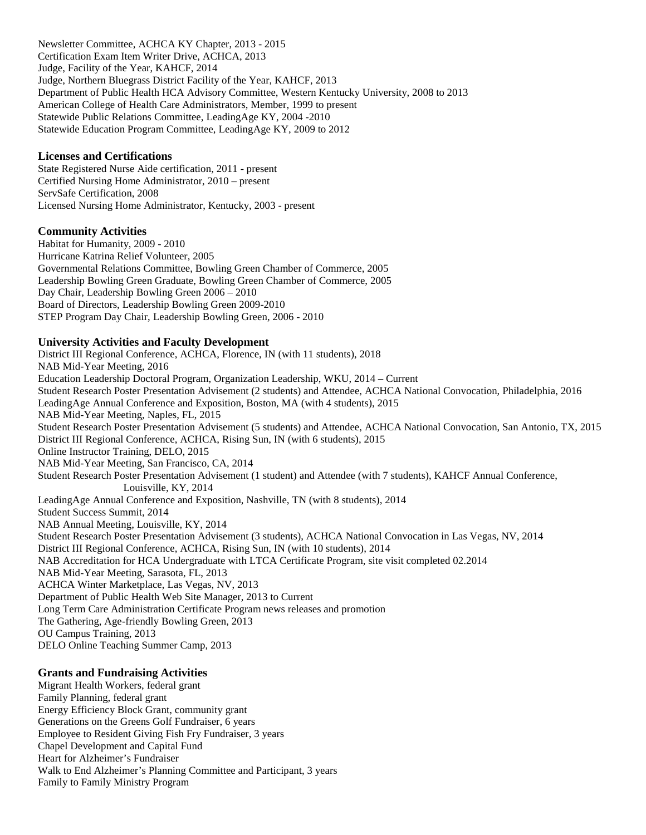Newsletter Committee, ACHCA KY Chapter, 2013 - 2015 Certification Exam Item Writer Drive, ACHCA, 2013 Judge, Facility of the Year, KAHCF, 2014 Judge, Northern Bluegrass District Facility of the Year, KAHCF, 2013 Department of Public Health HCA Advisory Committee, Western Kentucky University, 2008 to 2013 American College of Health Care Administrators, Member, 1999 to present Statewide Public Relations Committee, LeadingAge KY, 2004 -2010 Statewide Education Program Committee, LeadingAge KY, 2009 to 2012

### **Licenses and Certifications**

State Registered Nurse Aide certification, 2011 - present Certified Nursing Home Administrator, 2010 – present ServSafe Certification, 2008 Licensed Nursing Home Administrator, Kentucky, 2003 - present

#### **Community Activities**

Habitat for Humanity, 2009 - 2010 Hurricane Katrina Relief Volunteer, 2005 Governmental Relations Committee, Bowling Green Chamber of Commerce, 2005 Leadership Bowling Green Graduate, Bowling Green Chamber of Commerce, 2005 Day Chair, Leadership Bowling Green 2006 – 2010 Board of Directors, Leadership Bowling Green 2009-2010 STEP Program Day Chair, Leadership Bowling Green, 2006 - 2010

#### **University Activities and Faculty Development**

District III Regional Conference, ACHCA, Florence, IN (with 11 students), 2018 NAB Mid-Year Meeting, 2016 Education Leadership Doctoral Program, Organization Leadership, WKU, 2014 – Current Student Research Poster Presentation Advisement (2 students) and Attendee, ACHCA National Convocation, Philadelphia, 2016 LeadingAge Annual Conference and Exposition, Boston, MA (with 4 students), 2015 NAB Mid-Year Meeting, Naples, FL, 2015 Student Research Poster Presentation Advisement (5 students) and Attendee, ACHCA National Convocation, San Antonio, TX, 2015 District III Regional Conference, ACHCA, Rising Sun, IN (with 6 students), 2015 Online Instructor Training, DELO, 2015 NAB Mid-Year Meeting, San Francisco, CA, 2014 Student Research Poster Presentation Advisement (1 student) and Attendee (with 7 students), KAHCF Annual Conference, Louisville, KY, 2014 LeadingAge Annual Conference and Exposition, Nashville, TN (with 8 students), 2014 Student Success Summit, 2014 NAB Annual Meeting, Louisville, KY, 2014 Student Research Poster Presentation Advisement (3 students), ACHCA National Convocation in Las Vegas, NV, 2014 District III Regional Conference, ACHCA, Rising Sun, IN (with 10 students), 2014 NAB Accreditation for HCA Undergraduate with LTCA Certificate Program, site visit completed 02.2014 NAB Mid-Year Meeting, Sarasota, FL, 2013 ACHCA Winter Marketplace, Las Vegas, NV, 2013 Department of Public Health Web Site Manager, 2013 to Current Long Term Care Administration Certificate Program news releases and promotion The Gathering, Age-friendly Bowling Green, 2013 OU Campus Training, 2013 DELO Online Teaching Summer Camp, 2013

### **Grants and Fundraising Activities**

Migrant Health Workers, federal grant Family Planning, federal grant Energy Efficiency Block Grant, community grant Generations on the Greens Golf Fundraiser, 6 years Employee to Resident Giving Fish Fry Fundraiser, 3 years Chapel Development and Capital Fund Heart for Alzheimer's Fundraiser Walk to End Alzheimer's Planning Committee and Participant, 3 years Family to Family Ministry Program